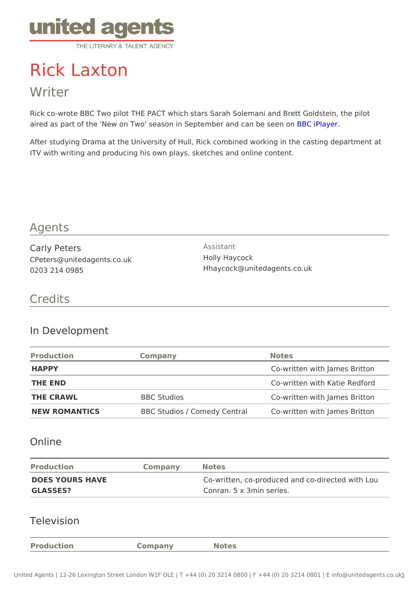# Rick Laxton

Writer

Rick co-wrote BBC Two pilot THE PACT which stars Sarah Solemani and Brett aired as part of the 'New on Two' season in September BaC ind Potane be seen on

After studying Drama at the University of Hull, Rick combined working in the ITV with writing and producing his own plays, sketches and online content.

## Agents

Carly Peters CPeters@unitedagents.co.uk 0203 214 0985

Assistant Holly Haycock Hhaycock@unitedagents.co.uk

Credits

### In Development

| Production    | Company                                                | Notes                         |  |
|---------------|--------------------------------------------------------|-------------------------------|--|
| HAPPY         |                                                        | Co-written with James Britton |  |
| THE END       |                                                        | Co-written with Katie Redford |  |
| THE CRAWL     | <b>BBC</b> Studios                                     | Co-written with James Britton |  |
| NEW ROMANTICS | BBC Studios / Comedy Cerctoawritten with James Britton |                               |  |

#### Online

| Production      | Company Notes |                                            |
|-----------------|---------------|--------------------------------------------|
| DOES YOURS HAVE |               | Co-written, co-produced and co-directed wi |
| GLASSES?        |               | Conran. 5 x 3 min series.                  |

#### Television